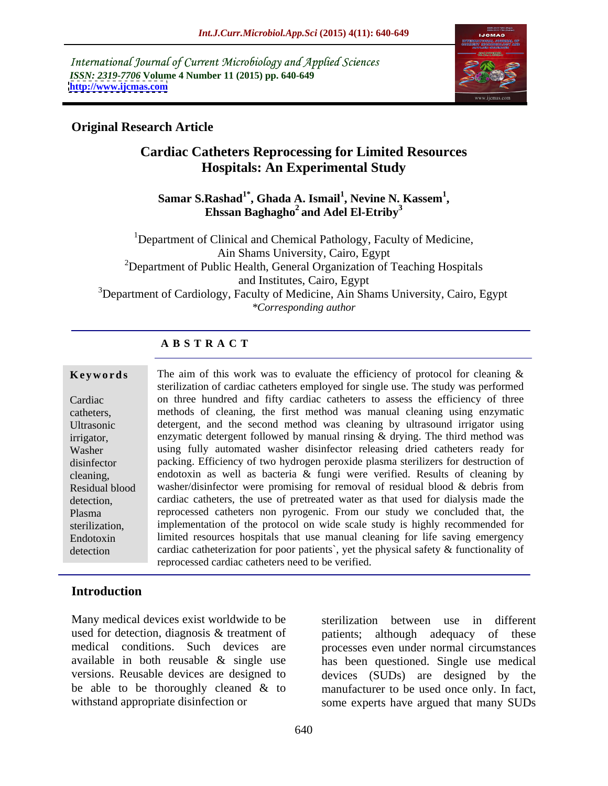International Journal of Current Microbiology and Applied Sciences *ISSN: 2319-7706* **Volume 4 Number 11 (2015) pp. 640-649 <http://www.ijcmas.com>**



# **Original Research Article**

# **Cardiac Catheters Reprocessing for Limited Resources Hospitals: An Experimental Study**

Samar S.Rashad<sup>1\*</sup>, Ghada A. Ismail<sup>1</sup>, Nevine N. Kassem<sup>1</sup>, **, Nevine N. Kassem1 ,** Ehssan Baghagho<sup>2</sup> and Adel El-Etriby<sup>3</sup> **and Adel El-Etriby<sup>3</sup>**

<sup>1</sup>Department of Clinical and Chemical Pathology, Faculty of Medicine, Ain Shams University, Cairo, Egypt  $2$ Department of Public Health, General Organization of Teaching Hospitals and Institutes, Cairo, Egypt <sup>3</sup>Department of Cardiology, Faculty of Medicine, Ain Shams University, Cairo, Egypt *\*Corresponding author*

# **A B S T R A C T**

detection

**EXECUTE:** STERING THE LIGHT OF THE STERING WAS TO EVALUATE THE STERING OF STERING STERING SETTILIZATION Of cardiac catheters employed for single use. The study was performed **Keywords** The aim of this work was to evaluate the efficiency of protocol for cleaning & on three hundred and fifty cardiac catheters to assess the efficiency of three Cardiac methods of cleaning, the first method was manual cleaning using enzymatic catheters, detergent, and the second method was cleaning by ultrasound irrigator using Ultrasonic enzymatic detergent followed by manual rinsing & drying. The third method was irrigator, using fully automated washer disinfector releasing dried catheters ready for Washer packing. Efficiency of two hydrogen peroxide plasma sterilizers for destruction of disinfector endotoxin as well as bacteria & fungi were verified. Results of cleaning by cleaning, Residual blood washer/disinfector were promising for removal of residual blood & debris from detection, cardiac catheters, the use of pretreated water as that used for dialysis made the Plasma reprocessed catheters non pyrogenic. From our study we concluded that, the sterilization, implementation of the protocol on wide scale study is highly recommended for limited resources hospitals that use manual cleaning for life saving emergency Endotoxin cardiac catheterization for poor patients`, yet the physical safety & functionality of reprocessed cardiac catheters need to be verified.

# **Introduction**

Many medical devices exist worldwide to be used for detection, diagnosis & treatment of patients; although adequacy of these be able to be thoroughly cleaned  $\&$  to

medical conditions. Such devices are processes even under normal circumstances available in both reusable & single use has been questioned. Single use medical versions. Reusable devices are designed to devices (SUDs) are designed by the withstand appropriate disinfection or some experts have argued that many SUDs sterilization between use in different patients; although adequacy of these manufacturer to be used once only. In fact,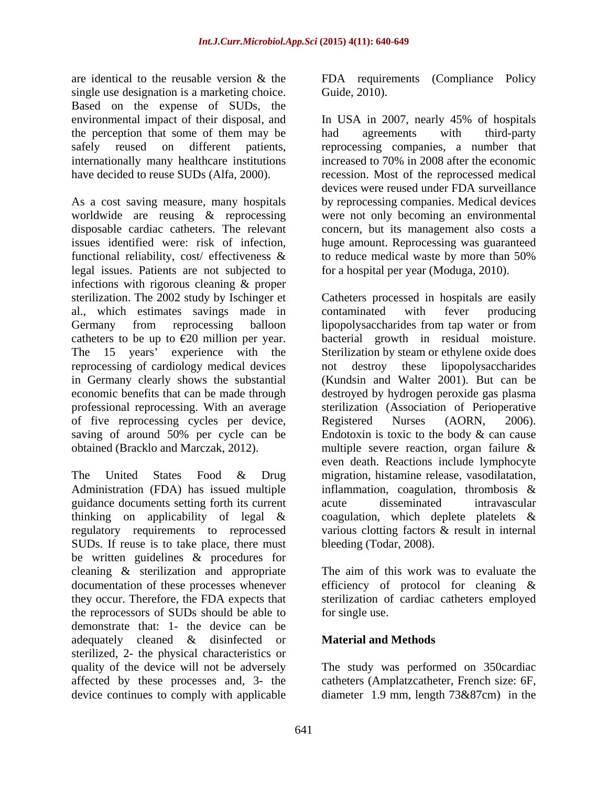are identical to the reusable version & the FDA requirements (Compliance Policy single use designation is a marketing choice. Guide, 2010). Based on the expense of SUDs, the environmental impact of their disposal, and In USA in 2007, nearly 45% of hospitals the perception that some of them may be had agreements with third-party

As a cost saving measure, many hospitals functional reliability, cost/ effectiveness & to reduce medical waste by more than 50% legal issues. Patients are not subjected to infections with rigorous cleaning & proper al., which estimates savings made in catheters to be up to  $\epsilon$ 20 million per year. bacterial growth in residual moisture. The 15 years' experience with the Sterilization by steam or ethylene oxide does reprocessing of cardiology medical devices not destroy these lipopolysaccharides in Germany clearly shows the substantial professional reprocessing. With an average of five reprocessing cycles per device, Registered Nurses (AORN, 2006). obtained (Bracklo and Marczak, 2012). The multiple severe reaction, organ failure &

Administration (FDA) has issued multiple inflammation, coagulation, thrombosis  $\&$ guidance documents setting forth its current acute disseminated intravascular thinking on applicability of legal & coagulation, which deplete platelets & SUDs. If reuse is to take place, there must be written guidelines & procedures for cleaning & sterilization and appropriate documentation of these processes whenever efficiency of protocol for cleaning & they occur. Therefore, the FDA expects that sterilization of cardiac catheters employed the reprocessors of SUDs should be able to demonstrate that: 1- the device can be adequately cleaned & disinfected or **Material and Methods** sterilized, 2- the physical characteristics or quality of the device will not be adversely The study was performed on 350cardiac affected by these processes and, 3- the device continues to comply with applicable diameter 1.9 mm, length 73&87cm) in the

Guide, 2010).

safely reused on different patients, reprocessing companies, a number that internationally many healthcare institutions increased to 70% in 2008 after the economic have decided to reuse SUDs (Alfa, 2000). The recession. Most of the reprocessed medical worldwide are reusing & reprocessing were not only becoming an environmental disposable cardiac catheters. The relevant concern, but its management also costs a issues identified were: risk of infection, huge amount. Reprocessing was guaranteed In USA in 2007, nearly 45% of hospitals had agreements with third-party devices were reused under FDA surveillance by reprocessing companies. Medical devices to reduce medical waste by more than 50% for a hospital per year (Moduga, 2010).

sterilization. The 2002 study by Ischinger et Catheters processed in hospitals are easily Germany from reprocessing balloon lipopolysaccharides from tap water or from economic benefits that can be made through destroyed by hydrogen peroxide gas plasma saving of around 50% per cycle can be Endotoxin is toxic to the body & can cause The United States Food & Drug migration, histamine release, vasodilatation, regulatory requirements to reprocessed various clotting factors & result in internal contaminated with fever producing bacterial growth in residual moisture.<br>Sterilization by steam or ethylene oxide does not destroy these lipopolysaccharides (Kundsin and Walter 2001). But can be sterilization (Association of Perioperative Registered Nurses (AORN, 2006). multiple severe reaction, organ failure & even death. Reactions include lymphocyte inflammation, coagulation, thrombosis  $\&$ acute disseminated intravascular coagulation, which deplete platelets & bleeding (Todar, 2008).

> The aim of this work was to evaluate the for single use.

# **Material and Methods**

catheters (Amplatzcatheter, French size: 6F,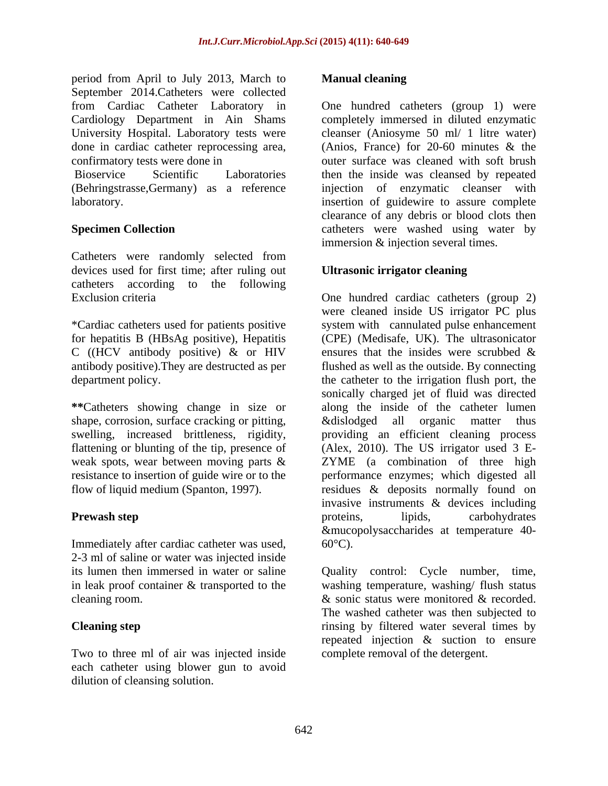period from April to July 2013, March to **Manual cleaning** September 2014.Catheters were collected Cardiology Department in Ain Shams University Hospital. Laboratory tests were

(Behringstrasse,Germany) as a reference

Catheters were randomly selected from devices used for first time; after ruling out catheters according to the following

\*Cardiac catheters used for patients positive C ((HCV antibody positive)  $\&$  or HIV ensures that the insides were scrubbed  $\&$ 

**\*\***Catheters showing change in size or shape, corrosion, surface cracking or pitting, and explision and solution or ganic matter thus

Immediately after cardiac catheter was used,  $60^{\circ}$ C). 2-3 ml of saline or water was injected inside in leak proof container & transported to the

Two to three ml of air was injected inside each catheter using blower gun to avoid dilution of cleansing solution.

## **Manual cleaning**

from Cardiac Catheter Laboratory in One hundred catheters (group 1) were done in cardiac catheter reprocessing area, (Anios, France) for 20-60 minutes & the confirmatory tests were done in outer surface was cleaned with soft brush Bioservice Scientific Laboratories then the inside was cleansed by repeated laboratory. insertion of guidewire to assure complete **Specimen Collection Collection Collection Collection Collection Collection Collection Collection Collection Collection Collection Collection Collection Collection Collection Collection Coll** completely immersed in diluted enzymatic cleanser (Aniosyme 50 ml/ 1 litre water) injection of enzymatic cleanser with clearance of any debris or blood clots then immersion & injection several times.

## **Ultrasonic irrigator cleaning**

Exclusion criteria One hundred cardiac catheters (group 2) for hepatitis B (HBsAg positive), Hepatitis (CPE) (Medisafe, UK). The ultrasonicator antibody positive).They are destructed as per flushed as well as the outside. By connecting department policy. the catheter to the irrigation flush port, the swelling, increased brittleness, rigidity, providing an efficient cleaning process flattening or blunting of the tip, presence of (Alex, 2010). The US irrigator used 3 E weak spots, wear between moving parts & ZYME (a combination of three high resistance to insertion of guide wire or to the performance enzymes; which digested all flow of liquid medium (Spanton, 1997). residues & deposits normally found on **Prewash step** examples the proteins, the proteins, the lipids, carbohydrates and the proteins of the step of the step of the step of the step of the step of the step of the step of the step of the step of the step of the were cleaned inside US irrigator PC plus system with cannulated pulse enhancement ensures that the insides were scrubbed & sonically charged jet of fluid was directed along the inside of the catheter lumen &dislodged all organic matter thus invasive instruments & devices including proteins, lipids, carbohydrates &mucopolysaccharides at temperature 40-  $60^{\circ}$ C).

its lumen then immersed in water or saline Quality control: Cycle number, time, cleaning room. & sonic status were monitored & recorded. **Cleaning step** rinsing by filtered water several times by washing temperature, washing/ flush status The washed catheter was then subjected to repeated injection & suction to ensure complete removal of the detergent.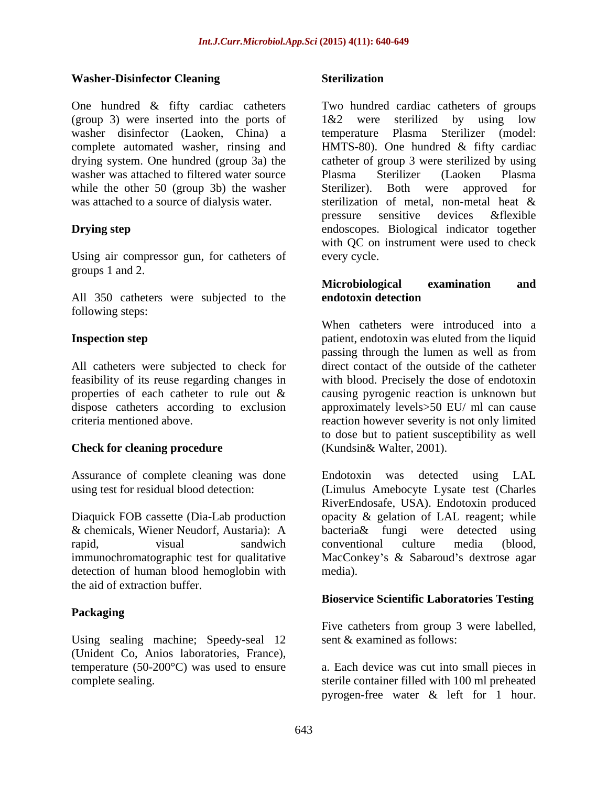### **Washer-Disinfector Cleaning**

(group 3) were inserted into the ports of washer disinfector (Laoken, China) a temperature Plasma Sterilizer (model: washer was attached to filtered water source Plasma Sterilizer (Laoken Plasma while the other 50 (group 3b) the washer Sterilizer). Both were approved for was attached to a source of dialysis water. Seterilization of metal, non-metal heat &

Using air compressor gun, for catheters of every cycle. groups 1 and 2.

All 350 catheters were subjected to the **endotoxin detection** following steps:

feasibility of its reuse regarding changes in

### **Check for cleaning procedure**

detection of human blood hemoglobin with media). the aid of extraction buffer.

### **Packaging**

Using sealing machine; Speedy-seal 12 (Unident Co, Anios laboratories, France),

### **Sterilization**

One hundred & fifty cardiac catheters Two hundred cardiac catheters of groups complete automated washer, rinsing and HMTS-80). One hundred & fifty cardiac drying system. One hundred (group 3a) the catheter of group 3 were sterilized by using **Drying step** endoscopes. Biological indicator together 1&2 were sterilized by using low temperature Plasma Sterilizer (model: Plasma Sterilizer (Laoken Plasma Sterilizer). Both were approved for sterilization of metal, non-metal heat & pressure sensitive devices &flexible with QC on instrument were used to check every cycle.

## **Microbiological examination and endotoxin detection**

**Inspection step interpretering the example of the step in the patient, endotoxin was eluted from the liquid** All catheters were subjected to check for direct contact of the outside of the catheter properties of each catheter to rule out & causing pyrogenic reaction is unknown but dispose catheters according to exclusion approximately levels>50 EU/ ml can cause criteria mentioned above. reaction however severity is not only limited When catheters were introduced into a passing through the lumen as well as from with blood. Precisely the dose of endotoxin to dose but to patient susceptibility as well (Kundsin& Walter, 2001).

Assurance of complete cleaning was done Endotoxin was detected using LAL using test for residual blood detection: (Limulus Amebocyte Lysate test (Charles Diaquick FOB cassette (Dia-Lab production opacity & gelation of LAL reagent; while & chemicals, Wiener Neudorf, Austaria): A bacteria& fungi were detected using rapid, visual sandwich conventional culture media (blood, immunochromatographic test for qualitative MacConkey's & Sabaroud's dextrose agar RiverEndosafe, USA). Endotoxin produced conventional culture media (blood, media).

### **Bioservice Scientific Laboratories Testing**

Five catheters from group 3 were labelled, sent & examined as follows:

temperature (50-200°C) was used to ensure a. Each device was cutinto small pieces in complete sealing. sterile container filled with 100 ml preheated pyrogen-free water & left for 1 hour.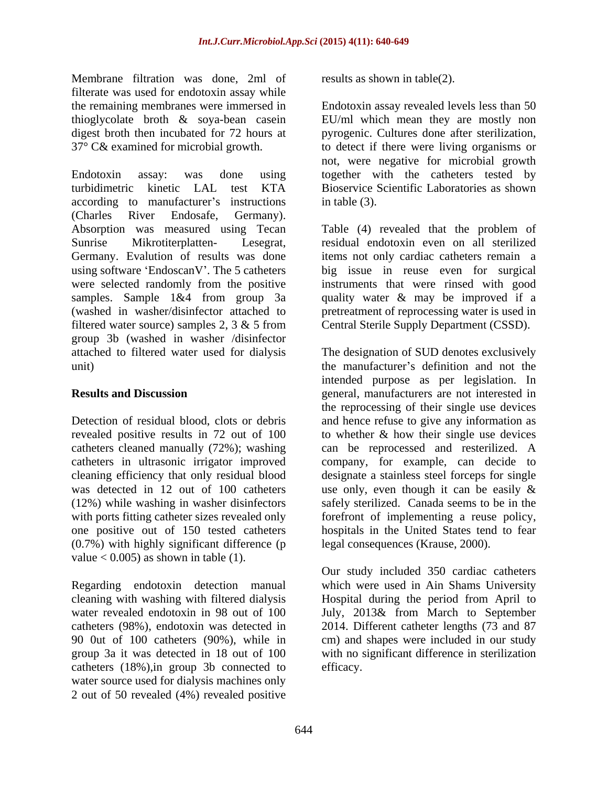Membrane filtration was done, 2ml of filterate was used for endotoxin assay while

Endotoxin assay: was done using together with the catheters tested by turbidimetric kinetic LAL test KTA Bioservice Scientific Laboratories as shown according to manufacturer's instructions in table (3). (Charles River Endosafe, Germany). Absorption was measured using Tecan Table (4) revealed that the problem of Sunrise Mikrotiterplatten- Lesegrat, residual endotoxin even on all sterilized Germany. Evalution of results was done items not only cardiac catheters remain a using software EndoscanV . The 5 catheters big issue in reuse even for surgical were selected randomly from the positive instruments that were rinsed with good samples. Sample 1&4 from group 3a quality water & may be improved if a (washed in washer/disinfector attached to pretreatment of reprocessing water is used in filtered water source) samples 2, 3 & 5 from Central Sterile Supply Department (CSSD). group 3b (washed in washer /disinfector attached to filtered water used for dialysis The designation of SUD denotes exclusively unit) the manufacturer's definition and not the

catheters cleaned manually (72%); washing (12%) while washing in washer disinfectors with ports fitting catheter sizes revealed only one positive out of 150 tested catheters (0.7%) with highly significant difference (p value  $< 0.005$ ) as shown in table (1).

catheters (18%),in group 3b connected to water source used for dialysis machines only 2 out of 50 revealed (4%) revealed positive

results as shown in table(2).

the remaining membranes were immersed in Endotoxin assay revealed levels less than 50 thioglycolate broth & soya-bean casein EU/ml which mean they are mostly non digest broth then incubated for 72 hours at pyrogenic. Cultures done after sterilization, 37° C& examined for microbial growth. to detect if there were living organisms or not, were negative for microbial growth in table (3).

**Results and Discussion** entertainment general, manufacturers are not interested in Detection of residual blood, clots or debris and hence refuse to give any information as revealed positive results in 72 out of 100 to whether & how their single use devices catheters in ultrasonic irrigator improved company, for example, can decide to cleaning efficiency that only residual blood designate a stainless steel forceps for single was detected in 12 out of 100 catheters use only, even though it can be easily & intended purpose as per legislation. In the reprocessing of their single use devices can be reprocessed and resterilized. A safely sterilized. Canada seems to be in the forefront of implementing a reuse policy, hospitals in the United States tend to fear legal consequences (Krause, 2000).

Regarding endotoxin detection manual which were used in Ain Shams University cleaning with washing with filtered dialysis Hospital during the period from April to water revealed endotoxin in 98 out of 100 July, 2013& from March to September catheters (98%), endotoxin was detected in 2014. Different catheter lengths (73 and 87 90 0ut of 100 catheters (90%), while in cm) and shapes were included in our study group 3a it was detected in 18 out of 100 with no significant difference in sterilization Our study included 350 cardiac catheters efficacy.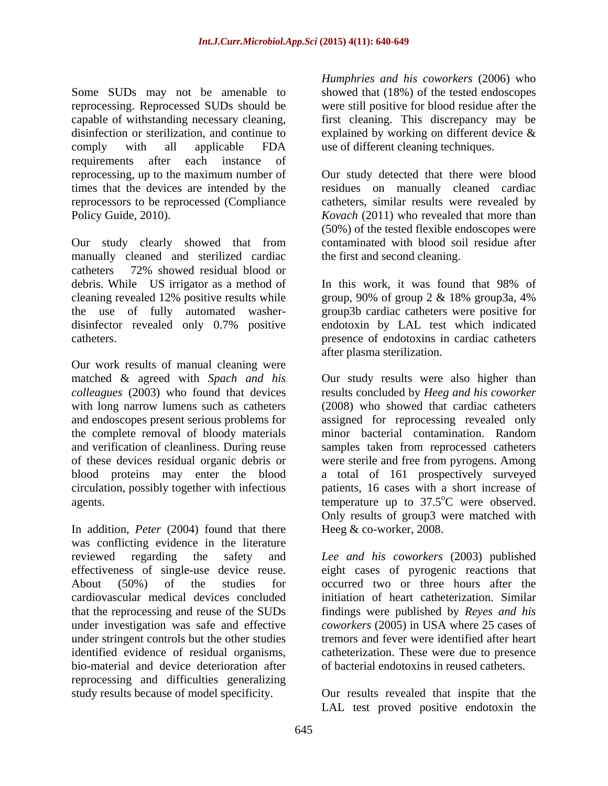Some SUDs may not be amenable to reprocessing. Reprocessed SUDs should be capable of withstanding necessary cleaning, first cleaning. This discrepancy may be disinfection or sterilization, and continue to explained by working on different device & comply with all applicable FDA use of different cleaning techniques. requirements after each instance of reprocessing, up to the maximum number of Our study detected that there were blood times that the devices are intended by the residues on manually cleaned cardiac reprocessors to be reprocessed (Compliance Policy Guide, 2010). *Kovach* (2011) who revealed that more than

Our study clearly showed that from contaminated with blood soil residue after manually cleaned and sterilized cardiac catheters 72% showed residual blood or debris. While US irrigator as a method of In this work, it was found that 98% of cleaning revealed 12% positive results while  $\frac{\text{group}}{90\% \text{ of group 2 \& } 18\% \text{ group} 3a, 4\%}$ the use of fully automated washer- group3b cardiac catheters were positive for disinfector revealed only 0.7% positive endotoxin by LAL test which indicated

Our work results of manual cleaning were *colleagues* (2003) who found that devices the complete removal of bloody materials minor bacterial contamination. Random blood proteins may enter the blood circulation, possibly together with infectious

In addition, *Peter* (2004) found that there was conflicting evidence in the literature reviewed regarding the safety and *Lee and his coworkers* (2003) published effectiveness of single-use device reuse. eight cases of pyrogenic reactions that About (50%) of the studies for occurred two or three hours after the cardiovascular medical devices concluded that the reprocessing and reuse of the SUDs findings were published by *Reyes and his* under investigation was safe and effective *coworkers* (2005) in USA where 25 cases of under stringent controls but the other studies identified evidence of residual organisms, catheterization. These were due to presence bio-material and device deterioration after reprocessing and difficulties generalizing study results because of model specificity. Our results revealed that inspite that the

*Humphries and his coworkers* (2006) who showed that (18%) of the tested endoscopes were still positive for blood residue after the explained by working on different device & use of different cleaning techniques.

catheters, similar results were revealed by (50%) of the tested flexible endoscopes were contaminated with blood soil residue after the first and second cleaning.

catheters. presence of endotoxins in cardiac catheters In this work, it was found that 98% of group, 90% of group 2 & 18% group3a, 4% after plasma sterilization.

matched & agreed with *Spach and his* Our study results were also higher than with long narrow lumens such as catheters (2008) who showed that cardiac catheters and endoscopes present serious problems for assigned for reprocessing revealed only and verification of cleanliness. During reuse samples taken from reprocessed catheters of these devices residual organic debris or were sterile and free from pyrogens. Among agents.  $\blacksquare$  temperature up to 37.5°C were observed. results concluded by *Heeg and his coworker* minor bacterial contamination. Random a total of 161 prospectively surveyed patients, 16 cases with a short increase of <sup>o</sup>C were observed. Only results of group3 were matched with Heeg & co-worker, 2008.

> initiation of heart catheterization. Similar *coworkers* (2005) in USA where 25 cases of tremors and fever were identified after heart of bacterial endotoxins in reused catheters.

LAL test proved positive endotoxin the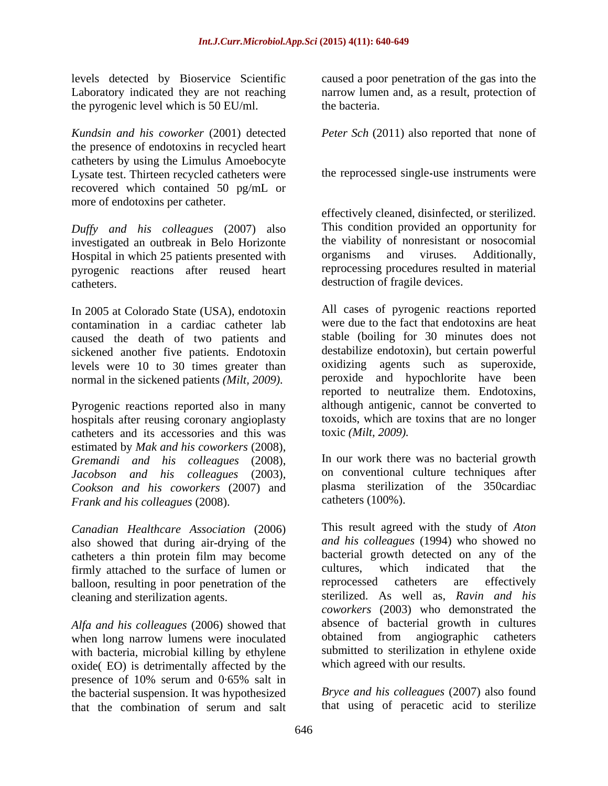the pyrogenic level which is 50 EU/ml. the bacteria.

*Kundsin and his coworker* (2001) detected *Peter Sch* (2011) also reported that none of the presence of endotoxins in recycled heart catheters by using the Limulus Amoebocyte Lysate test. Thirteen recycled catheters were recovered which contained 50 pg/mL or more of endotoxins per catheter.

*Duffy and his colleagues* (2007) also investigated an outbreak in Belo Horizonte the viability of nonresistant or nosocomial<br>Hospital in which 25 patients presented with organisms and viruses. Additionally, Hospital in which 25 patients presented with pyrogenic reactions after reused heart catheters. destruction of fragile devices.

In 2005 at Colorado State (USA), endotoxin contamination in a cardiac catheter lab caused the death of two patients and sickened another five patients. Endotoxin levels were 10 to 30 times greater than normal in the sickened patients *(Milt, 2009).*

Pyrogenic reactions reported also in many hospitals after reusing coronary angioplasty catheters and its accessories and this was estimated by *Mak and his coworkers* (2008), *Gremandi and his colleagues* (2008), *Jacobson and his colleagues* (2003), *Cookson and his coworkers* (2007) and *Frank and his colleagues* (2008).

*Canadian Healthcare Association* (2006) also showed that during air-drying of the catheters a thin protein film may become bacterial growth detected on any of the firmly attached to the surface of lumen or cultures, which indicated that the firmly attached to the surface of lumen or cultures, which indicated that the halloon resulting in poor penetration of the reprocessed catheters are effectively balloon, resulting in poor penetration of the reprocessed catheters are

*Alfa and his colleagues* (2006) showed that absence of bacterial growth in cultures when long parrow lumens were inoculated botained from angiographic catheters when long narrow lumens were inoculated with bacteria, microbial killing by ethylene oxide( EO) is detrimentally affected by the presence of 10% serum and 0·65% salt in the bacterial suspension. It was hypothesized<br>that the combination of serum and salt that the combination of serum and salt that using of peracetic acid to sterilize

levels detected by Bioservice Scientific caused a poor penetration of the gas into the Laboratory indicated they are not reaching narrow lumen and, as a result, protection of the bacteria.

the reprocessed single use instruments were

effectively cleaned, disinfected, or sterilized. This condition provided an opportunity for the viability of nonresistant or nosocomial organisms and viruses. Additionally, reprocessing procedures resulted in material

All cases of pyrogenic reactions reported were due to the fact that endotoxins are heat stable (boiling for 30 minutes does not destabilize endotoxin), but certain powerful oxidizing agents such as superoxide, peroxide and hypochlorite have been reported to neutralize them. Endotoxins, although antigenic, cannot be converted to toxoids, which are toxins that are no longer toxic *(Milt, 2009).*

In our work there was no bacterial growth on conventional culture techniques after plasma sterilization of the 350cardiac catheters (100%).

cleaning and sterilization agents. sterilized. As well as, *Ravin and his* This result agreed with the study of *Aton and his colleagues* (1994) who showed no bacterial growth detected on any of the cultures, which indicated that the reprocessed catheters are effectively *coworkers* (2003) who demonstrated the absence of bacterial growth in cultures obtained from angiographic catheters submitted to sterilization in ethylene oxide which agreed with our results.

> *Bryce and his colleagues* (2007) also found that using of peracetic acid to sterilize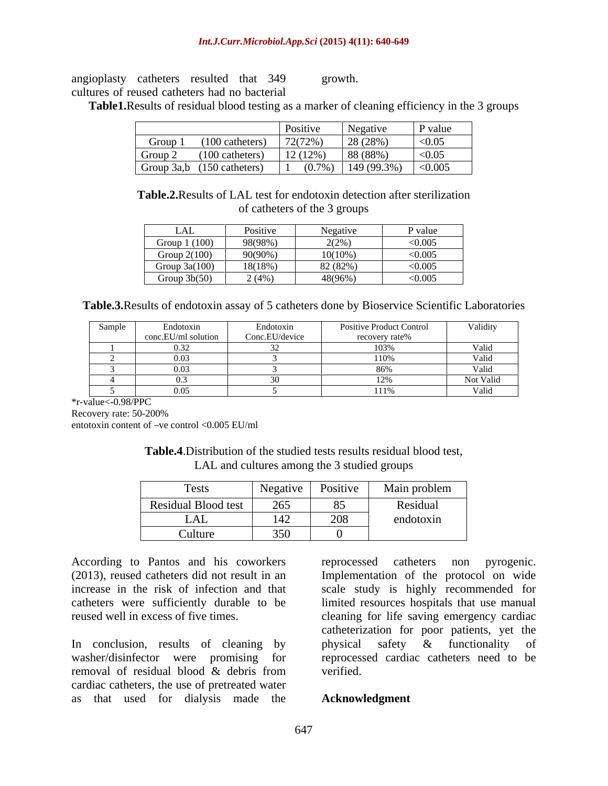angioplasty catheters resulted that 349 cultures of reused catheters had no bacterial

growth. The contract of the contract of the contract of the contract of the contract of the contract of the contract of the contract of the contract of the contract of the contract of the contract of the contract of the co

**Table1.** Results of residual blood testing as a marker of cleaning efficiency in the 3 groups

|                |                            | Positive  | Negative    | P value |
|----------------|----------------------------|-----------|-------------|---------|
| Group 1        | $(100 \text{ catheters})$  | 72(72%)   | 28 (28%)    | < 0.05  |
| Group $\angle$ | $(100 \text{ catheters})$  | 12(12%)   | 88 (88%)    | < 0.05  |
|                | Group 3a,b (150 catheters) | $(0.7\%)$ | 149 (99.3%) | < 0.005 |

**Table.2.**Results of LAL test for endotoxin detection after sterilization of catheters of the 3 groups

| LAL             | Positive<br>$\sim$ | Negative                       | P value |
|-----------------|--------------------|--------------------------------|---------|
| 1(100)<br>Group | 98(98%)            | (20)<br>$\angle$ ( $\angle$ /0 | < 0.005 |
| Group $2(100)$  | 90(90%)            | $10(10\%)$                     | < 0.005 |
| Group $3a(100)$ | 18(18%)            | 82 (82%)                       | < 0.005 |
| Group $3b(50)$  | 2(4%)              | 48(96%)                        | < 0.005 |

**Table.3.**Results of endotoxin assay of 5 catheters done by Bioservice Scientific Laboratories

| Sample                                                                                                          | Tndotox <sub>1</sub> | Endotoxin      | Positive Product Control | Validity                                                 |
|-----------------------------------------------------------------------------------------------------------------|----------------------|----------------|--------------------------|----------------------------------------------------------|
|                                                                                                                 | conc.EU/ml solution  | Conc.EU/device | " covery rate%           |                                                          |
|                                                                                                                 | - 0.22               |                | - 1720/<br>- 1037        |                                                          |
|                                                                                                                 |                      |                |                          | v aliu                                                   |
|                                                                                                                 | . വര<br>,,,,,        |                | - 86%                    |                                                          |
|                                                                                                                 |                      |                |                          | the contract of the contract of the<br>Not Valid         |
| the contract of the contract of the contract of the contract of the contract of the contract of the contract of | $\sqrt{10E}$         |                | 1110/                    | v anu<br>the contract of the contract of the contract of |

\*r-value<-0.98/PPC

Recovery rate: 50-200%

entotoxin content of  $-ve$  control <0.005 EU/ml

**Table.4**.Distribution of the studied tests results residual blood test, LAL and cultures among the 3 studied groups

| $T_{\alpha \alpha}$ to<br>$1 \text{e}$ sts | $Negative$                                   | Positive | Main problem |
|--------------------------------------------|----------------------------------------------|----------|--------------|
| Residual Blood test                        | $\angle$ 00                                  | 85       | Residual     |
| LAL                                        |                                              | 208      | endotoxin    |
| Culture                                    | $\sim$ $\sim$ $\sim$<br>$\sim$ $\sim$ $\sim$ |          |              |

According to Pantos and his coworkers reprocessed catheters non pyrogenic.

washer/disinfector were promising for removal of residual blood & debris from cardiac catheters, the use of pretreated water as that used for dialysis made the

(2013), reused catheters did not result in an Implementation of the protocol on wide increase in the risk of infection and that scale study is highly recommended for catheters were sufficiently durable to be limited resources hospitals that use manual reused well in excess of five times. cleaning for life saving emergency cardiac In conclusion, results of cleaning by physical safety  $\&$  functionality of catheterization for poor patients, yet the physical safety & functionality of reprocessed cardiac catheters need to be verified.

### **Acknowledgment**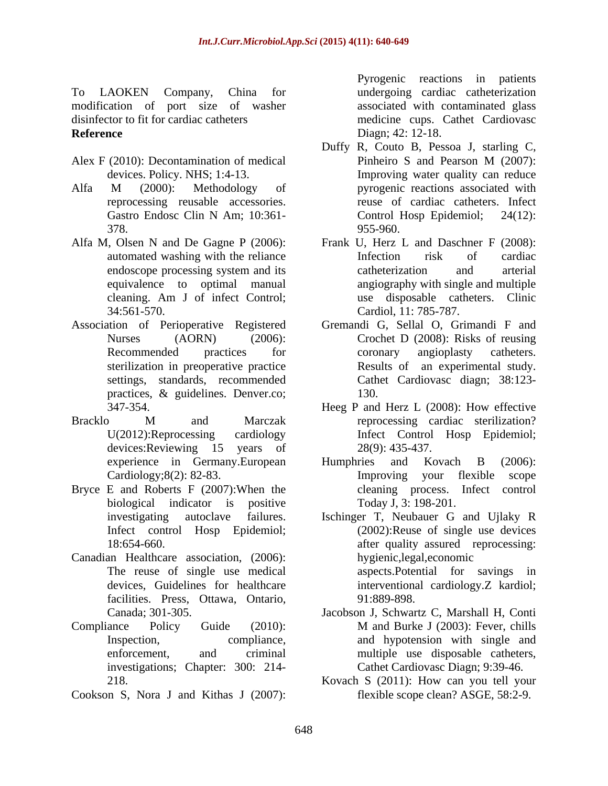To LAOKEN Company, China for undergoing cardiac catheterization modification of port size of washer disinfector to fit for cardiac catheters medicine cups. Cathet Cardiovasc

- 
- reprocessing reusable accessories.
- 
- Association of Perioperative Registered
- 
- Bryce E and Roberts F (2007):When the biological indicator is positive
- Canadian Healthcare association, (2006): facilities. Press, Ottawa, Ontario, 91:889-898.
- Compliance Policy Guide (2010): M and Burke J (2003): Fever, chills investigations; Chapter: 300: 214-
- Cookson S, Nora J and Kithas J (2007):

**Reference** Diagn; 42: 12-18. Pyrogenic reactions in patients associated with contaminated glass Diagn; 42: 12-18.

- Alex F (2010): Decontamination of medical Pinheiro S and Pearson M (2007): devices. Policy. NHS; 1:4-13. Improving water quality can reduce Alfa M (2000): Methodology of pyrogenic reactions associated with Gastro Endosc Clin N Am; 10:361-<br>
Control Hosp Epidemiol; 24(12): 378. 955-960. Duffy R, Couto B, Pessoa J, starling C, Pinheiro S and Pearson M (2007): pyrogenic reactions associated with reuse of cardiac catheters. Infect Control Hosp Epidemiol; 24(12): 955-960.
- Alfa M, Olsen N and De Gagne P (2006): Frank U, Herz L and Daschner F (2008): automated washing with the reliance **Infection** risk of cardiac endoscope processing system and its catheterization and arterial equivalence to optimal manual angiography with single and multiple cleaning. Am J of infect Control; 34:561-570. Cardiol, 11: 785-787. Infection risk of cardiac catheterization and arterial use disposable catheters. Clinic
	- Nurses (AORN) (2006): Crochet D (2008): Risks of reusing Recommended practices for coronary angioplasty catheters. sterilization in preoperative practice Results of an experimental study. settings, standards, recommended Cathet Cardiovasc diagn; 38:123 practices, & guidelines. Denver.co; and 130. Gremandi G, Sellal O, Grimandi F and coronary angioplasty catheters. 130.
- 347-354. Heeg P and Herz L (2008): How effective Bracklo M and Marczak reprocessing cardiac sterilization? U(2012):Reprocessing cardiology Infect Control Hosp Epidemiol; devices: Reviewing 15 years of 28(9): 435-437. reprocessing cardiac sterilization? 28(9): 435-437.
	- experience in Germany.European Humphries and Kovach B (2006): Cardiology;8(2): 82-83. Improving your flexible scope Humphries and Kovach B (2006): cleaning process. Infect control Today J, 3: 198-201.
	- investigating autoclave failures. Ischinger T, Neubauer G and Ujlaky R Infect control Hosp Epidemiol; (2002):Reuse of single use devices 18:654-660. after quality assured reprocessing: The reuse of single use medical aspects.Potential for savings in devices, Guidelines for healthcare interventional cardiology.Z kardiol; hygienic,legal,economic 91:889-898.
	- Canada; 301-305. Jacobson J, Schwartz C, Marshall H, Conti Inspection, compliance, and hypotension with single and enforcement, and criminal multiple use disposable catheters, M and Burke J (2003): Fever, chills Cathet Cardiovasc Diagn; 9:39-46.
	- 218. Kovach S (2011): How can you tell your flexible scope clean? ASGE, 58:2-9.